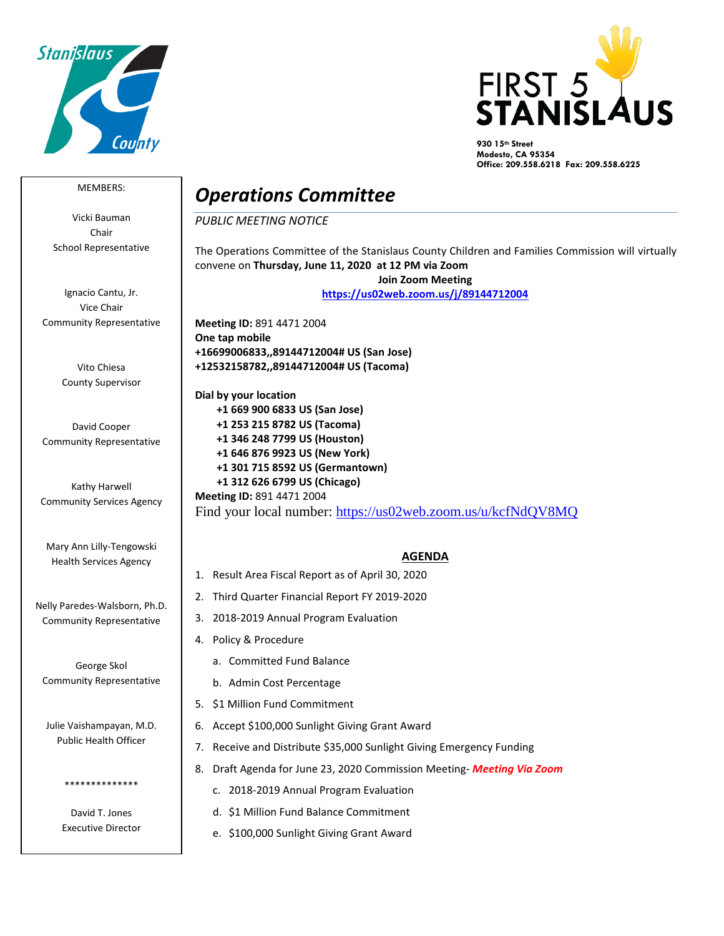



**930 15th Street Modesto, CA 95354 Office: 209.558.6218 Fax: 209.558.6225**

## MEMBERS:

Vicki Bauman Chair School Representative

Ignacio Cantu, Jr. Vice Chair Community Representative

> Vito Chiesa County Supervisor

David Cooper Community Representative

Kathy Harwell Community Services Agency

Mary Ann Lilly-Tengowski Health Services Agency

Nelly Paredes-Walsborn, Ph.D. Community Representative

George Skol Community Representative

Julie Vaishampayan, M.D. Public Health Officer

> David T. Jones Executive Director

\*\*\*\*\*\*\*\*\*\*\*\*\*\*

## *Operations Committee*

*PUBLIC MEETING NOTICE*

The Operations Committee of the Stanislaus County Children and Families Commission will virtually convene on **Thursday, June 11, 2020 at 12 PM via Zoom Join Zoom Meeting <https://us02web.zoom.us/j/89144712004>**

**Meeting ID:** 891 4471 2004 **One tap mobile +16699006833,,89144712004# US (San Jose) +12532158782,,89144712004# US (Tacoma)**

**Dial by your location +1 669 900 6833 US (San Jose) +1 253 215 8782 US (Tacoma) +1 346 248 7799 US (Houston) +1 646 876 9923 US (New York) +1 301 715 8592 US (Germantown) +1 312 626 6799 US (Chicago) Meeting ID:** 891 4471 2004 Find your local number:<https://us02web.zoom.us/u/kcfNdQV8MQ>

## **AGENDA**

- 1. Result Area Fiscal Report as of April 30, 2020
- 2. Third Quarter Financial Report FY 2019-2020
- 3. 2018-2019 Annual Program Evaluation
- 4. Policy & Procedure
	- a. Committed Fund Balance
	- b. Admin Cost Percentage
- 5. \$1 Million Fund Commitment
- 6. Accept \$100,000 Sunlight Giving Grant Award
- 7. Receive and Distribute \$35,000 Sunlight Giving Emergency Funding
- 8. Draft Agenda for June 23, 2020 Commission Meeting- *Meeting Via Zoom*
	- c. 2018-2019 Annual Program Evaluation
	- d. \$1 Million Fund Balance Commitment
	- e. \$100,000 Sunlight Giving Grant Award